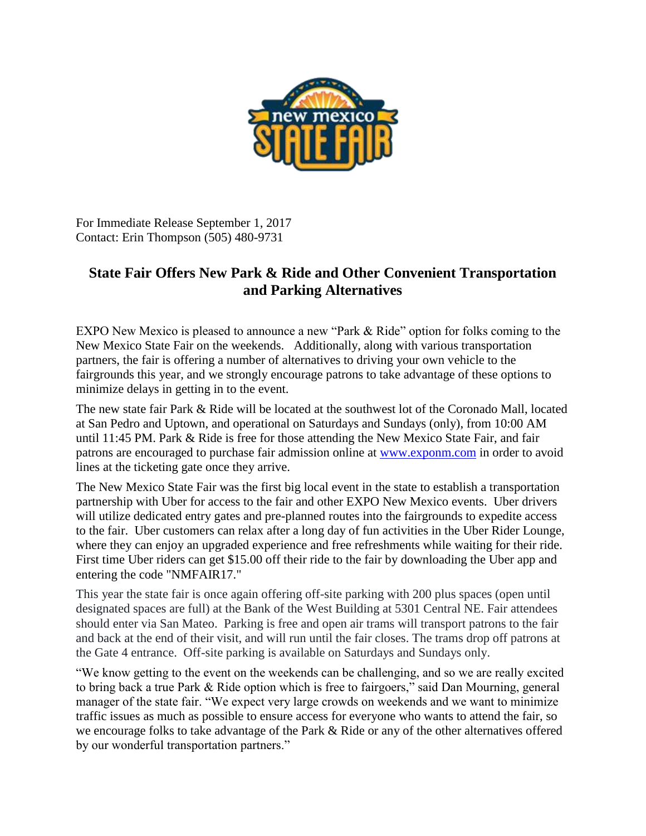

For Immediate Release September 1, 2017 Contact: Erin Thompson (505) 480-9731

## **State Fair Offers New Park & Ride and Other Convenient Transportation and Parking Alternatives**

EXPO New Mexico is pleased to announce a new "Park & Ride" option for folks coming to the New Mexico State Fair on the weekends. Additionally, along with various transportation partners, the fair is offering a number of alternatives to driving your own vehicle to the fairgrounds this year, and we strongly encourage patrons to take advantage of these options to minimize delays in getting in to the event.

The new state fair Park & Ride will be located at the southwest lot of the Coronado Mall, located at San Pedro and Uptown, and operational on Saturdays and Sundays (only), from 10:00 AM until 11:45 PM. Park & Ride is free for those attending the New Mexico State Fair, and fair patrons are encouraged to purchase fair admission online at [www.exponm.com](http://www.exponm.com/) in order to avoid lines at the ticketing gate once they arrive.

The New Mexico State Fair was the first big local event in the state to establish a transportation partnership with Uber for access to the fair and other EXPO New Mexico events. Uber drivers will utilize dedicated entry gates and pre-planned routes into the fairgrounds to expedite access to the fair. Uber customers can relax after a long day of fun activities in the Uber Rider Lounge, where they can enjoy an upgraded experience and free refreshments while waiting for their ride. First time Uber riders can get \$15.00 off their ride to the fair by downloading the Uber app and entering the code "NMFAIR17."

This year the state fair is once again offering off-site parking with 200 plus spaces (open until designated spaces are full) at the Bank of the West Building at 5301 Central NE. Fair attendees should enter via San Mateo. Parking is free and open air trams will transport patrons to the fair and back at the end of their visit, and will run until the fair closes. The trams drop off patrons at the Gate 4 entrance. Off-site parking is available on Saturdays and Sundays only.

"We know getting to the event on the weekends can be challenging, and so we are really excited to bring back a true Park & Ride option which is free to fairgoers," said Dan Mourning, general manager of the state fair. "We expect very large crowds on weekends and we want to minimize traffic issues as much as possible to ensure access for everyone who wants to attend the fair, so we encourage folks to take advantage of the Park & Ride or any of the other alternatives offered by our wonderful transportation partners."